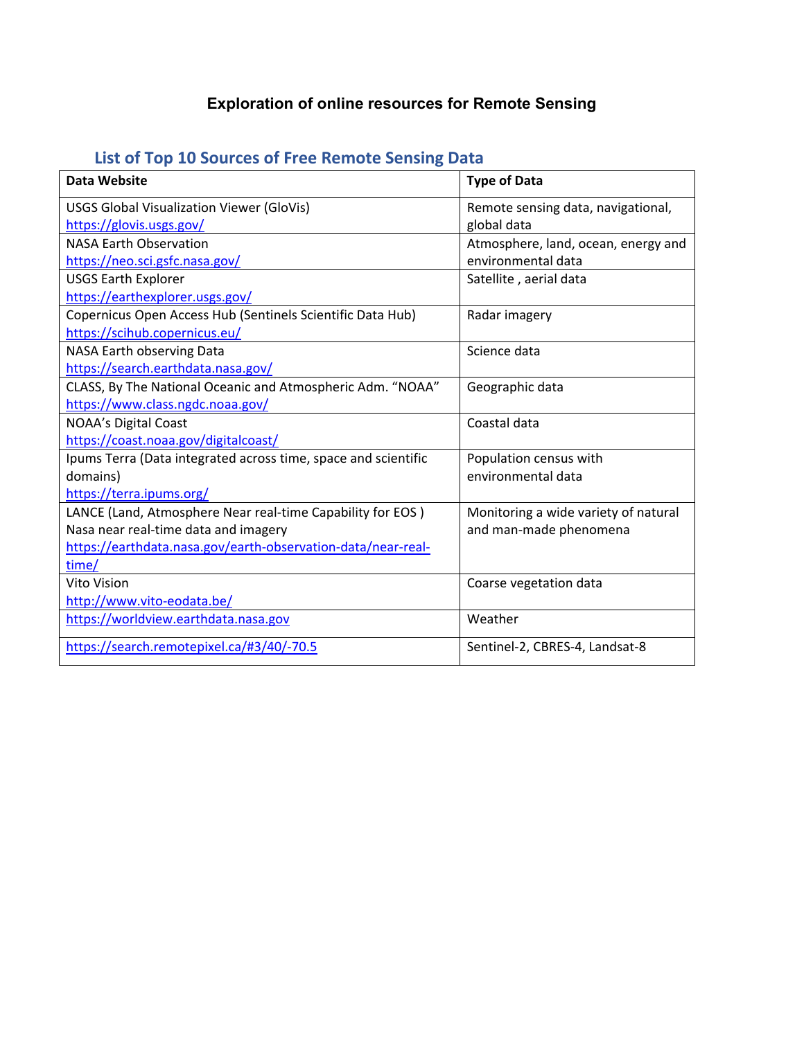## **Exploration of online resources for Remote Sensing**

|  |  |  |  | List of Top 10 Sources of Free Remote Sensing Data |
|--|--|--|--|----------------------------------------------------|
|--|--|--|--|----------------------------------------------------|

| Data Website                                                   | <b>Type of Data</b>                  |
|----------------------------------------------------------------|--------------------------------------|
| <b>USGS Global Visualization Viewer (GloVis)</b>               | Remote sensing data, navigational,   |
| https://glovis.usgs.gov/                                       | global data                          |
| <b>NASA Earth Observation</b>                                  | Atmosphere, land, ocean, energy and  |
| https://neo.sci.gsfc.nasa.gov/                                 | environmental data                   |
| <b>USGS Earth Explorer</b>                                     | Satellite, aerial data               |
| https://earthexplorer.usgs.gov/                                |                                      |
| Copernicus Open Access Hub (Sentinels Scientific Data Hub)     | Radar imagery                        |
| https://scihub.copernicus.eu/                                  |                                      |
| NASA Earth observing Data                                      | Science data                         |
| https://search.earthdata.nasa.gov/                             |                                      |
| CLASS, By The National Oceanic and Atmospheric Adm. "NOAA"     | Geographic data                      |
| https://www.class.ngdc.noaa.gov/                               |                                      |
| NOAA's Digital Coast                                           | Coastal data                         |
| https://coast.noaa.gov/digitalcoast/                           |                                      |
| Ipums Terra (Data integrated across time, space and scientific | Population census with               |
| domains)                                                       | environmental data                   |
| https://terra.ipums.org/                                       |                                      |
| LANCE (Land, Atmosphere Near real-time Capability for EOS)     | Monitoring a wide variety of natural |
| Nasa near real-time data and imagery                           | and man-made phenomena               |
| https://earthdata.nasa.gov/earth-observation-data/near-real-   |                                      |
| time/                                                          |                                      |
| Vito Vision                                                    | Coarse vegetation data               |
| http://www.vito-eodata.be/                                     |                                      |
| https://worldview.earthdata.nasa.gov                           | Weather                              |
| https://search.remotepixel.ca/#3/40/-70.5                      | Sentinel-2, CBRES-4, Landsat-8       |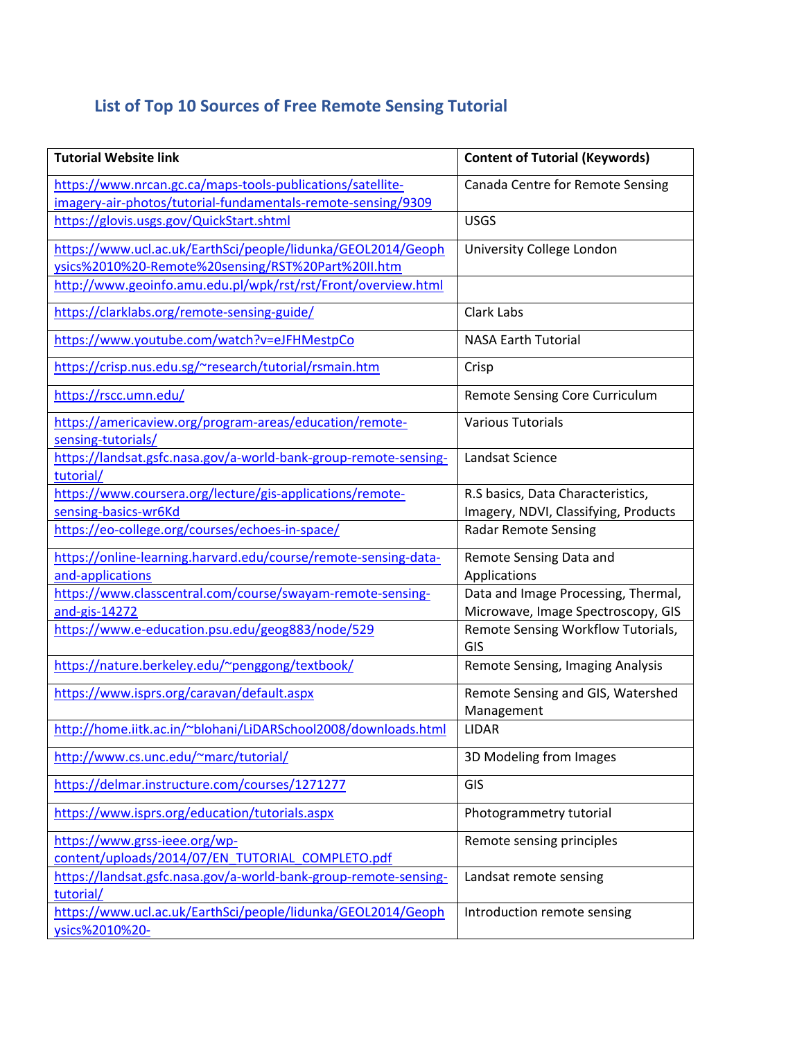## **List of Top 10 Sources of Free Remote Sensing Tutorial**

| <b>Tutorial Website link</b>                                                                                               | <b>Content of Tutorial (Keywords)</b>                                     |
|----------------------------------------------------------------------------------------------------------------------------|---------------------------------------------------------------------------|
| https://www.nrcan.gc.ca/maps-tools-publications/satellite-<br>imagery-air-photos/tutorial-fundamentals-remote-sensing/9309 | Canada Centre for Remote Sensing                                          |
| https://glovis.usgs.gov/QuickStart.shtml                                                                                   | <b>USGS</b>                                                               |
| https://www.ucl.ac.uk/EarthSci/people/lidunka/GEOL2014/Geoph<br>ysics%2010%20-Remote%20sensing/RST%20Part%20II.htm         | University College London                                                 |
| http://www.geoinfo.amu.edu.pl/wpk/rst/rst/Front/overview.html                                                              |                                                                           |
| https://clarklabs.org/remote-sensing-guide/                                                                                | Clark Labs                                                                |
| https://www.youtube.com/watch?v=eJFHMestpCo                                                                                | <b>NASA Earth Tutorial</b>                                                |
| https://crisp.nus.edu.sg/~research/tutorial/rsmain.htm                                                                     | Crisp                                                                     |
| https://rscc.umn.edu/                                                                                                      | Remote Sensing Core Curriculum                                            |
| https://americaview.org/program-areas/education/remote-<br>sensing-tutorials/                                              | <b>Various Tutorials</b>                                                  |
| https://landsat.gsfc.nasa.gov/a-world-bank-group-remote-sensing-<br>tutorial/                                              | Landsat Science                                                           |
| https://www.coursera.org/lecture/gis-applications/remote-<br>sensing-basics-wr6Kd                                          | R.S basics, Data Characteristics,<br>Imagery, NDVI, Classifying, Products |
| https://eo-college.org/courses/echoes-in-space/                                                                            | <b>Radar Remote Sensing</b>                                               |
| https://online-learning.harvard.edu/course/remote-sensing-data-<br>and-applications                                        | Remote Sensing Data and<br>Applications                                   |
| https://www.classcentral.com/course/swayam-remote-sensing-<br>and-gis-14272                                                | Data and Image Processing, Thermal,<br>Microwave, Image Spectroscopy, GIS |
| https://www.e-education.psu.edu/geog883/node/529                                                                           | Remote Sensing Workflow Tutorials,<br>GIS                                 |
| https://nature.berkeley.edu/~penggong/textbook/                                                                            | Remote Sensing, Imaging Analysis                                          |
| https://www.isprs.org/caravan/default.aspx                                                                                 | Remote Sensing and GIS, Watershed<br>Management                           |
| http://home.iitk.ac.in/~blohani/LiDARSchool2008/downloads.html                                                             | LIDAR                                                                     |
| http://www.cs.unc.edu/~marc/tutorial/                                                                                      | 3D Modeling from Images                                                   |
| https://delmar.instructure.com/courses/1271277                                                                             | GIS                                                                       |
| https://www.isprs.org/education/tutorials.aspx                                                                             | Photogrammetry tutorial                                                   |
| https://www.grss-ieee.org/wp-<br>content/uploads/2014/07/EN TUTORIAL COMPLETO.pdf                                          | Remote sensing principles                                                 |
| https://landsat.gsfc.nasa.gov/a-world-bank-group-remote-sensing-<br>tutorial/                                              | Landsat remote sensing                                                    |
| https://www.ucl.ac.uk/EarthSci/people/lidunka/GEOL2014/Geoph<br>ysics%2010%20-                                             | Introduction remote sensing                                               |